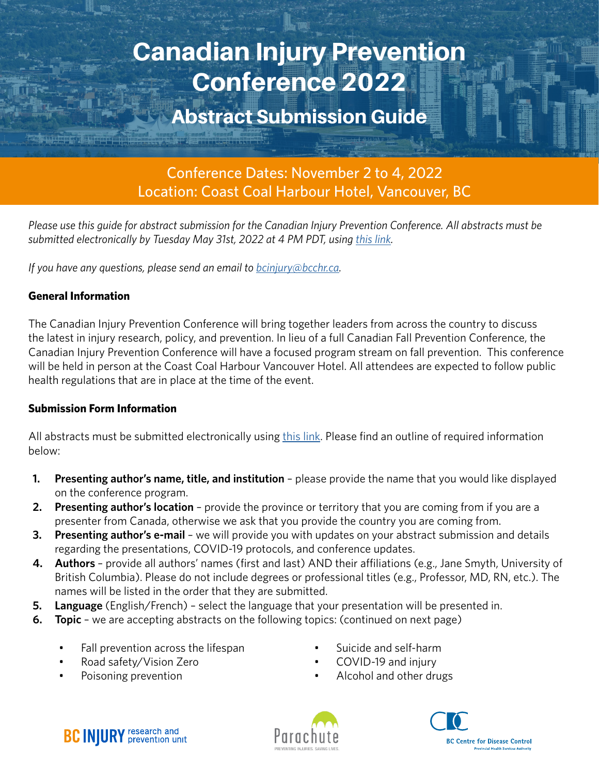# Canadian Injury Prevention Conference 2022

# Abstract Submission Guide

Conference Dates: November 2 to 4, 2022 Location: Coast Coal Harbour Hotel, Vancouver, BC

*Please use this guide for abstract submission for the Canadian Injury Prevention Conference. All abstracts must be*  submitted electronically by Tuesday May 31st, 2022 at 4 PM PDT, using [this link.](https://forms.gle/BK2hCwtCkYD17nGC8)

*If you have any questions, please send an email to <i>[bcinjury@bcchr.ca.](mailto:bcinjury%40bcchr.ca?subject=)* 

#### **General Information**

The Canadian Injury Prevention Conference will bring together leaders from across the country to discuss the latest in injury research, policy, and prevention. In lieu of a full Canadian Fall Prevention Conference, the Canadian Injury Prevention Conference will have a focused program stream on fall prevention. This conference will be held in person at the Coast Coal Harbour Vancouver Hotel. All attendees are expected to follow public health regulations that are in place at the time of the event.

#### **Submission Form Information**

All abstracts must be submitted electronically using [this link](https://forms.gle/BK2hCwtCkYD17nGC8). Please find an outline of required information below:

- **1. Presenting author's name, title, and institution** please provide the name that you would like displayed on the conference program.
- **2. Presenting author's location** provide the province or territory that you are coming from if you are a presenter from Canada, otherwise we ask that you provide the country you are coming from.
- **3. Presenting author's e-mail**  we will provide you with updates on your abstract submission and details regarding the presentations, COVID-19 protocols, and conference updates.
- **4. Authors**  provide all authors' names (first and last) AND their affiliations (e.g., Jane Smyth, University of British Columbia). Please do not include degrees or professional titles (e.g., Professor, MD, RN, etc.). The names will be listed in the order that they are submitted.
- **5. Language** (English/French) select the language that your presentation will be presented in.
- **6. Topic** we are accepting abstracts on the following topics: (continued on next page)
	- Fall prevention across the lifespan
	- Road safety/Vision Zero
	- Poisoning prevention
- Suicide and self-harm
- COVID-19 and injury
- Alcohol and other drugs